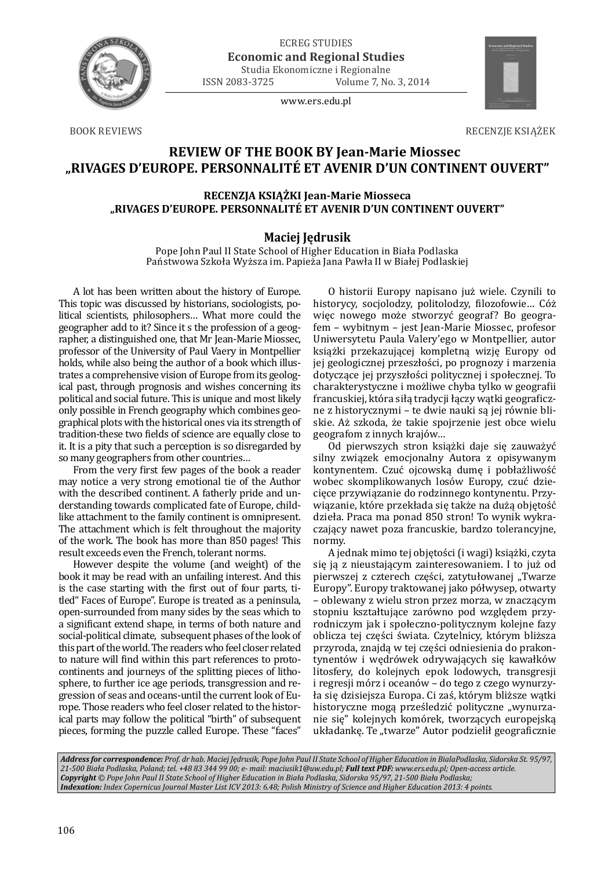

ECREG STUDIES **Economic and Regional Studies** Studia Ekonomiczne i Regionalne

ISSN 2083-3725 Volume 7, No. 3, 2014

www.ers.edu.pl



**BOOK REVIEWS** 

RECENZJE KSIĄŻEK

## **REVIEW OF THE BOOK BY Jean-Marie Miossec "RIVAGES D'EUROPE. PERSONNALITÉ ET AVENIR D'UN CONTINENT OUVERT"**

## **RECENZJA KSIĄŻKI Jean-Marie Miosseca "RIVAGES D'EUROPE. PERSONNALITÉ ET AVENIR D'UN CONTINENT OUVERT"**

## **Maciej Jędrusik**

Pope John Paul II State School of Higher Education in Biała Podlaska Państwowa Szkoła Wyższa im. Papieża Jana Pawła II w Białej Podlaskiej

A lot has been written about the history of Europe. This topic was discussed by historians, sociologists, political scientists, philosophers… What more could the geographer add to it? Since it s the profession of a geographer, a distinguished one, that Mr Jean-Marie Miossec, professor of the University of Paul Vaery in Montpellier holds, while also being the author of a book which illustrates a comprehensive vision of Europe from its geological past, through prognosis and wishes concerning its political and social future. This is unique and most likely only possible in French geography which combines geographical plots with the historical ones via its strength of tradition-these two fields of science are equally close to it. It is a pity that such a perception is so disregarded by so many geographers from other countries…

From the very first few pages of the book a reader may notice a very strong emotional tie of the Author with the described continent. A fatherly pride and understanding towards complicated fate of Europe, childlike attachment to the family continent is omnipresent. The attachment which is felt throughout the majority of the work. The book has more than 850 pages! This result exceeds even the French, tolerant norms.

However despite the volume (and weight) of the book it may be read with an unfailing interest. And this is the case starting with the first out of four parts, titled" Faces of Europe". Europe is treated as a peninsula, open-surrounded from many sides by the seas which to a significant extend shape, in terms of both nature and social-political climate, subsequent phases of the look of this part of the world. The readers who feel closer related to nature will find within this part references to protocontinents and journeys of the splitting pieces of lithosphere, to further ice age periods, transgression and regression of seas and oceans-until the current look of Europe. Those readers who feel closer related to the historical parts may follow the political "birth" of subsequent pieces, forming the puzzle called Europe. These "faces"

O historii Europy napisano już wiele. Czynili to historycy, socjolodzy, politolodzy, filozofowie... Cóż więc nowego może stworzyć geograf? Bo geografem – wybitnym – jest Jean-Marie Miossec, profesor Uniwersytetu Paula Valery'ego w Montpellier, autor książki przekazującej kompletną wizję Europy od jej geologicznej przeszłości, po prognozy i marzenia dotyczące jej przyszłości politycznej i społecznej. To charakterystyczne i możliwe chyba tylko w geografii francuskiej, która siłą tradycji łączy wątki geograficzne z historycznymi – te dwie nauki są jej równie bliskie. Aż szkoda, że takie spojrzenie jest obce wielu geografom z innych krajów…

Od pierwszych stron książki daje się zauważyć silny związek emocjonalny Autora z opisywanym kontynentem. Czuć ojcowską dumę i pobłażliwość wobec skomplikowanych losów Europy, czuć dziecięce przywiązanie do rodzinnego kontynentu. Przywiązanie, które przekłada się także na dużą objętość dzieła. Praca ma ponad 850 stron! To wynik wykraczający nawet poza francuskie, bardzo tolerancyjne, normy.

A jednak mimo tej objętości (i wagi) książki, czyta się ją z nieustającym zainteresowaniem. I to już od pierwszej z czterech części, zatytułowanej "Twarze Europy". Europy traktowanej jako półwysep, otwarty – oblewany z wielu stron przez morza, w znaczącym stopniu kształtujące zarówno pod względem przyrodniczym jak i społeczno-politycznym kolejne fazy oblicza tej części świata. Czytelnicy, którym bliższa przyroda, znajdą w tej części odniesienia do prakontynentów i wędrówek odrywających się kawałków litosfery, do kolejnych epok lodowych, transgresji i regresji mórz i oceanów – do tego z czego wynurzyła się dzisiejsza Europa. Ci zaś, którym bliższe wątki historyczne mogą prześledzić polityczne "wynurzanie się" kolejnych komórek, tworzących europejską układankę. Te "twarze" Autor podzielił geograficznie

*Address for correspondence: Prof. dr hab. Maciej Jędrusik, Pope John Paul II State School of Higher Education in BialaPodlaska, Sidorska St. 95/97, 21-500 Biała Podlaska, Poland; tel. +48 83 344 99 00; e- mail: maciusik1@uw.edu.pl; Full text PDF: www.ers.edu.pl; Open-access article. Copyright © Pope John Paul II State School of Higher Education in Biała Podlaska, Sidorska 95/97, 21-500 Biała Podlaska; Indexation: Index Copernicus Journal Master List ICV 2013: 6.48; Polish Ministry of Science and Higher Education 2013: 4 points.*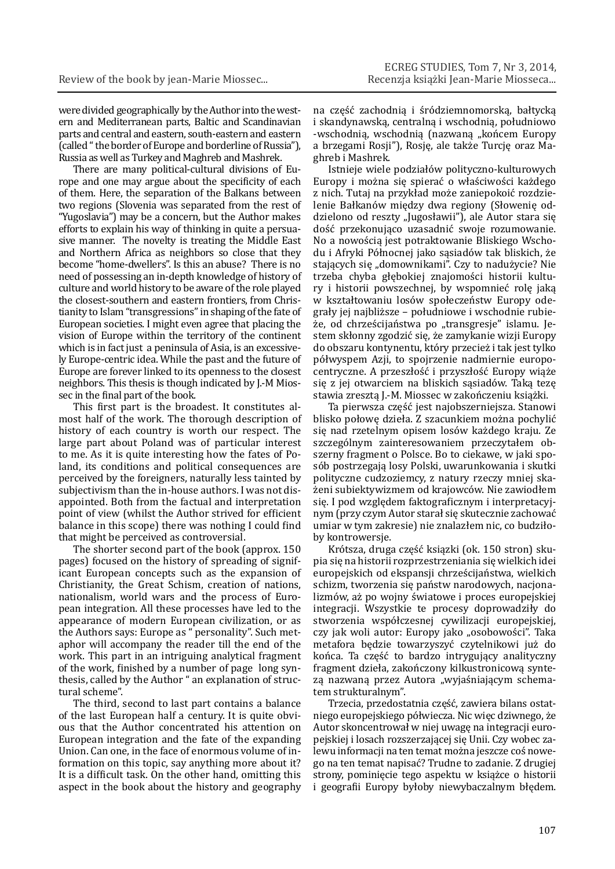were divided geographically by the Author into the western and Mediterranean parts, Baltic and Scandinavian parts and central and eastern, south-eastern and eastern (called " the border of Europe and borderline of Russia"), Russia as well as Turkey and Maghreb and Mashrek.

There are many political-cultural divisions of Europe and one may argue about the specificity of each of them. Here, the separation of the Balkans between two regions (Slovenia was separated from the rest of "Yugoslavia") may be a concern, but the Author makes efforts to explain his way of thinking in quite a persuasive manner. The novelty is treating the Middle East and Northern Africa as neighbors so close that they become "home-dwellers". Is this an abuse? There is no need of possessing an in-depth knowledge of history of culture and world history to be aware of the role played the closest-southern and eastern frontiers, from Christianity to Islam "transgressions" in shaping of the fate of European societies. I might even agree that placing the vision of Europe within the territory of the continent which is in fact just a peninsula of Asia, is an excessively Europe-centric idea. While the past and the future of Europe are forever linked to its openness to the closest neighbors. This thesis is though indicated by J.-M Miossec in the final part of the book.

This first part is the broadest. It constitutes almost half of the work. The thorough description of history of each country is worth our respect. The large part about Poland was of particular interest to me. As it is quite interesting how the fates of Poland, its conditions and political consequences are perceived by the foreigners, naturally less tainted by subjectivism than the in-house authors. I was not disappointed. Both from the factual and interpretation point of view (whilst the Author strived for efficient balance in this scope) there was nothing I could find that might be perceived as controversial.

The shorter second part of the book (approx. 150 pages) focused on the history of spreading of significant European concepts such as the expansion of Christianity, the Great Schism, creation of nations, nationalism, world wars and the process of European integration. All these processes have led to the appearance of modern European civilization, or as the Authors says: Europe as " personality". Such metaphor will accompany the reader till the end of the work. This part in an intriguing analytical fragment of the work, finished by a number of page long synthesis, called by the Author " an explanation of structural scheme".

The third, second to last part contains a balance of the last European half a century. It is quite obvious that the Author concentrated his attention on European integration and the fate of the expanding Union. Can one, in the face of enormous volume of information on this topic, say anything more about it? It is a difficult task. On the other hand, omitting this aspect in the book about the history and geography

na część zachodnią i śródziemnomorską, bałtycką i skandynawską, centralną i wschodnią, południowo -wschodnią, wschodnią (nazwaną "końcem Europy a brzegami Rosji"), Rosję, ale także Turcję oraz Maghreb i Mashrek.

Istnieje wiele podziałów polityczno-kulturowych Europy i można się spierać o właściwości każdego z nich. Tutaj na przykład może zaniepokoić rozdzielenie Bałkanów między dwa regiony (Słowenię oddzielono od reszty "Jugosławii"), ale Autor stara się dość przekonująco uzasadnić swoje rozumowanie. No a nowością jest potraktowanie Bliskiego Wschodu i Afryki Północnej jako sąsiadów tak bliskich, że stających się "domownikami". Czy to nadużycie? Nie trzeba chyba głębokiej znajomości historii kultury i historii powszechnej, by wspomnieć rolę jaką w kształtowaniu losów społeczeństw Europy odegrały jej najbliższe – południowe i wschodnie rubieże, od chrześcijaństwa po "transgresje" islamu. Jestem skłonny zgodzić się, że zamykanie wizji Europy do obszaru kontynentu, który przecież i tak jest tylko półwyspem Azji, to spojrzenie nadmiernie europocentryczne. A przeszłość i przyszłość Europy wiąże się z jej otwarciem na bliskich sąsiadów. Taką tezę stawia zresztą J.-M. Miossec w zakończeniu książki.

Ta pierwsza część jest najobszerniejsza. Stanowi blisko połowę dzieła. Z szacunkiem można pochylić się nad rzetelnym opisem losów każdego kraju. Ze szczególnym zainteresowaniem przeczytałem obszerny fragment o Polsce. Bo to ciekawe, w jaki sposób postrzegają losy Polski, uwarunkowania i skutki polityczne cudzoziemcy, z natury rzeczy mniej skażeni subiektywizmem od krajowców. Nie zawiodłem się. I pod względem faktograficznym i interpretacyjnym (przy czym Autor starał się skutecznie zachować umiar w tym zakresie) nie znalazłem nic, co budziłoby kontrowersje.

Krótsza, druga część ksiązki (ok. 150 stron) skupia się na historii rozprzestrzeniania się wielkich idei europejskich od ekspansji chrześcijaństwa, wielkich schizm, tworzenia się państw narodowych, nacjonalizmów, aż po wojny światowe i proces europejskiej integracji. Wszystkie te procesy doprowadziły do stworzenia współczesnej cywilizacji europejskiej, czy jak woli autor: Europy jako "osobowości". Taka metafora będzie towarzyszyć czytelnikowi już do końca. Ta część to bardzo intrygujący analityczny fragment dzieła, zakończony kilkustronicową syntezą nazwaną przez Autora "wyjaśniającym schematem strukturalnym".

Trzecia, przedostatnia część, zawiera bilans ostatniego europejskiego półwiecza. Nic więc dziwnego, że Autor skoncentrował w niej uwagę na integracji europejskiej i losach rozszerzającej się Unii. Czy wobec zalewu informacji na ten temat można jeszcze coś nowego na ten temat napisać? Trudne to zadanie. Z drugiej strony, pominięcie tego aspektu w książce o historii i geografii Europy byłoby niewybaczalnym błędem.